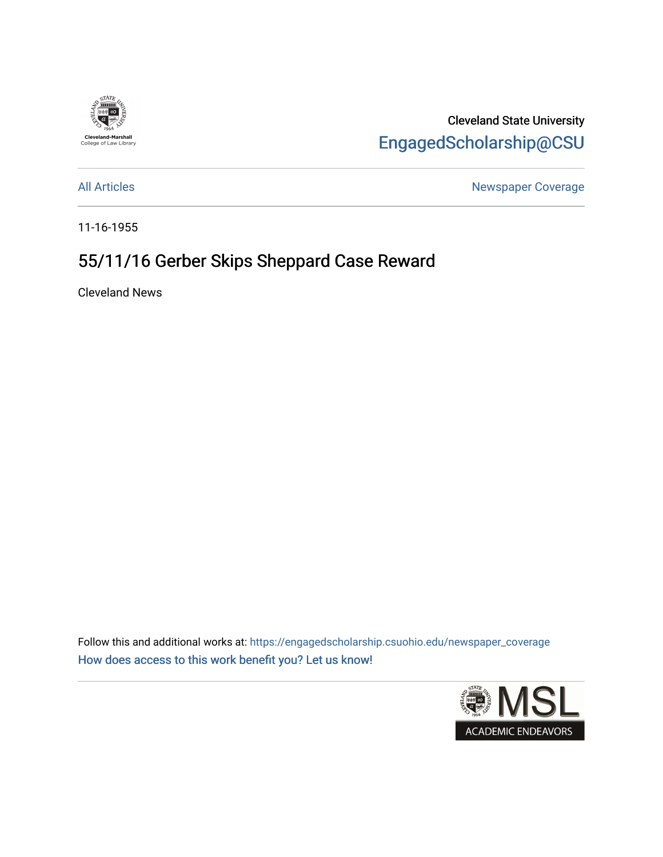

Cleveland State University [EngagedScholarship@CSU](https://engagedscholarship.csuohio.edu/) 

[All Articles](https://engagedscholarship.csuohio.edu/newspaper_coverage) **All Articles** All Articles **Newspaper Coverage** 

11-16-1955

## 55/11/16 Gerber Skips Sheppard Case Reward

Cleveland News

Follow this and additional works at: [https://engagedscholarship.csuohio.edu/newspaper\\_coverage](https://engagedscholarship.csuohio.edu/newspaper_coverage?utm_source=engagedscholarship.csuohio.edu%2Fnewspaper_coverage%2F667&utm_medium=PDF&utm_campaign=PDFCoverPages) [How does access to this work benefit you? Let us know!](http://library.csuohio.edu/engaged/)